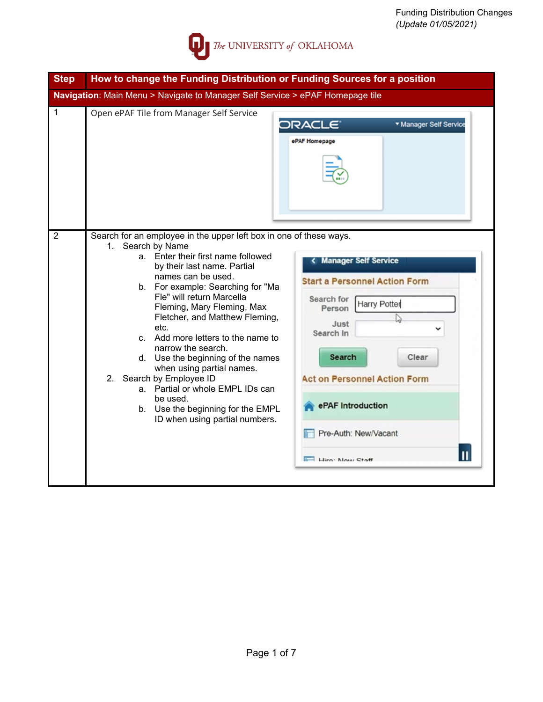

| <b>Step</b>                                                                   | How to change the Funding Distribution or Funding Sources for a position                                                                                                                                                                                                                                                                                                                                                                                                                                                                                                                                         |                                                                                                                                                                                                                                                              |  |  |  |  |
|-------------------------------------------------------------------------------|------------------------------------------------------------------------------------------------------------------------------------------------------------------------------------------------------------------------------------------------------------------------------------------------------------------------------------------------------------------------------------------------------------------------------------------------------------------------------------------------------------------------------------------------------------------------------------------------------------------|--------------------------------------------------------------------------------------------------------------------------------------------------------------------------------------------------------------------------------------------------------------|--|--|--|--|
| Navigation: Main Menu > Navigate to Manager Self Service > ePAF Homepage tile |                                                                                                                                                                                                                                                                                                                                                                                                                                                                                                                                                                                                                  |                                                                                                                                                                                                                                                              |  |  |  |  |
| 1                                                                             | Open ePAF Tile from Manager Self Service                                                                                                                                                                                                                                                                                                                                                                                                                                                                                                                                                                         | <b>v</b> Manager Self Service<br>ePAF Homepage                                                                                                                                                                                                               |  |  |  |  |
| $\overline{2}$                                                                | Search for an employee in the upper left box in one of these ways.<br>Search by Name<br>1.<br>a. Enter their first name followed<br>by their last name. Partial<br>names can be used.<br>b. For example: Searching for "Ma<br>Fle" will return Marcella<br>Fleming, Mary Fleming, Max<br>Fletcher, and Matthew Fleming,<br>etc.<br>c. Add more letters to the name to<br>narrow the search.<br>d. Use the beginning of the names<br>when using partial names.<br>2. Search by Employee ID<br>a. Partial or whole EMPL IDs can<br>be used.<br>b. Use the beginning for the EMPL<br>ID when using partial numbers. | < Manager Self Service<br><b>Start a Personnel Action Form</b><br>Search for<br><b>Harry Potter</b><br>Person<br>Just<br>Search In<br>Search<br>Clear<br><b>Act on Personnel Action Form</b><br>ePAF Introduction<br>Pre-Auth: New/Vacant<br>Hiro: Now Staff |  |  |  |  |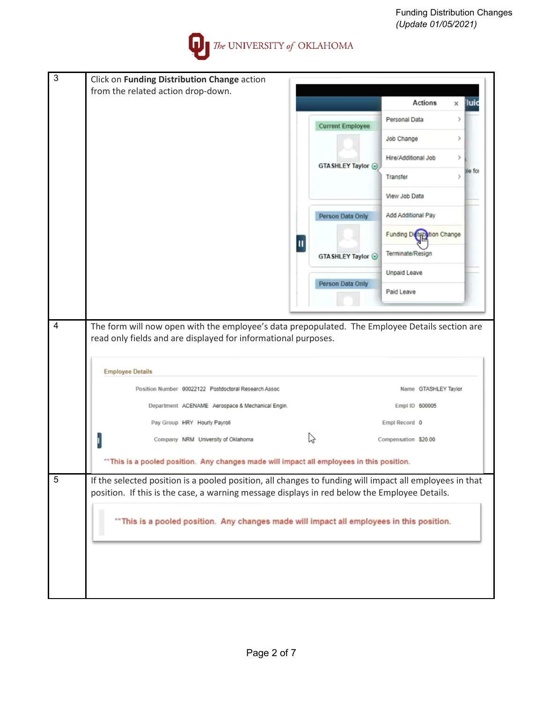Funding Distribution Changes *(Update 01/05/2021)*



| 3              |                                                                                                                                                                  |   |                         |                             |                      |               |             |
|----------------|------------------------------------------------------------------------------------------------------------------------------------------------------------------|---|-------------------------|-----------------------------|----------------------|---------------|-------------|
|                | Click on Funding Distribution Change action<br>from the related action drop-down.                                                                                |   |                         |                             |                      |               |             |
|                |                                                                                                                                                                  |   |                         |                             | <b>Actions</b>       | ×             | <b>Tuic</b> |
|                |                                                                                                                                                                  |   | <b>Current Employee</b> | Personal Data               |                      | $\rightarrow$ |             |
|                |                                                                                                                                                                  |   |                         | Job Change                  |                      | ⋋             |             |
|                |                                                                                                                                                                  |   | GTA SHLEY Taylor ⊙      | Hire/Additional Job         |                      | $\,$          |             |
|                |                                                                                                                                                                  |   |                         | Transfer                    |                      | $\rightarrow$ | Me for      |
|                |                                                                                                                                                                  |   |                         | View Job Data               |                      |               |             |
|                |                                                                                                                                                                  |   | Person Data Only        | Add Additional Pay          |                      |               |             |
|                |                                                                                                                                                                  | Щ |                         | Funding Distribution Change |                      |               |             |
|                |                                                                                                                                                                  |   | GTA SHLEY Taylor ⊙      | Terminate/Resign            |                      |               |             |
|                |                                                                                                                                                                  |   | Person Data Only        | Unpaid Leave                |                      |               |             |
|                |                                                                                                                                                                  |   |                         | Paid Leave                  |                      |               |             |
|                |                                                                                                                                                                  |   |                         |                             |                      |               |             |
| $\overline{4}$ | The form will now open with the employee's data prepopulated. The Employee Details section are<br>read only fields and are displayed for informational purposes. |   |                         |                             |                      |               |             |
|                |                                                                                                                                                                  |   |                         |                             |                      |               |             |
|                | <b>Employee Details</b>                                                                                                                                          |   |                         |                             |                      |               |             |
|                | Position Number 00022122 Postdoctoral Research Assoc                                                                                                             |   |                         |                             | Name GTASHLEY Taylor |               |             |
|                | Department ACENAME Aerospace & Mechanical Engin.                                                                                                                 |   |                         | Empl ID 600005              |                      |               |             |
|                | Pay Group HRY Hourly Payroll                                                                                                                                     |   |                         | Empl Record 0               |                      |               |             |
|                | Company NRM University of Oklahoma                                                                                                                               |   | じ                       | Compensation \$20.00        |                      |               |             |
|                | "This is a pooled position. Any changes made will impact all employees in this position.                                                                         |   |                         |                             |                      |               |             |
| $\mathbf 5$    | If the selected position is a pooled position, all changes to funding will impact all employees in that                                                          |   |                         |                             |                      |               |             |
|                | position. If this is the case, a warning message displays in red below the Employee Details.                                                                     |   |                         |                             |                      |               |             |
|                | "This is a pooled position. Any changes made will impact all employees in this position.                                                                         |   |                         |                             |                      |               |             |
|                |                                                                                                                                                                  |   |                         |                             |                      |               |             |
|                |                                                                                                                                                                  |   |                         |                             |                      |               |             |
|                |                                                                                                                                                                  |   |                         |                             |                      |               |             |
|                |                                                                                                                                                                  |   |                         |                             |                      |               |             |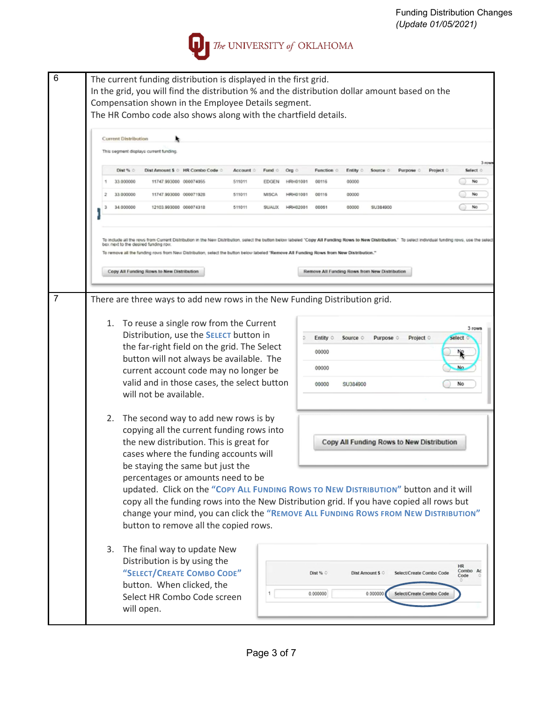

| 6              | The current funding distribution is displayed in the first grid.<br>In the grid, you will find the distribution % and the distribution dollar amount based on the<br>Compensation shown in the Employee Details segment.<br>The HR Combo code also shows along with the chartfield details.                                                                                                                                                                                               |
|----------------|-------------------------------------------------------------------------------------------------------------------------------------------------------------------------------------------------------------------------------------------------------------------------------------------------------------------------------------------------------------------------------------------------------------------------------------------------------------------------------------------|
|                | <b>Current Distribution</b>                                                                                                                                                                                                                                                                                                                                                                                                                                                               |
|                | This segment displays current funding<br>$3$ row                                                                                                                                                                                                                                                                                                                                                                                                                                          |
|                | Dist % 0<br>Dist Amount \$ © HR Combo Code ©<br>Account 0<br>Fund o<br>Org o<br>Function of<br>Entity of<br>Source o<br>Purpose o<br>Project 0<br>Select o                                                                                                                                                                                                                                                                                                                                |
|                | 33.000000<br>11747.993000 000074055<br>511011<br>00116<br>00000<br>No<br><b>HRH01001</b><br><b>EDGEN</b>                                                                                                                                                                                                                                                                                                                                                                                  |
|                | 33.000000<br>11747.993000 000071928<br>511011<br>00116<br>00000<br>No<br><b>MISCA</b><br><b>HRH01001</b>                                                                                                                                                                                                                                                                                                                                                                                  |
|                | 34.000000<br>No<br>12103.993000 000074318<br>SU384900<br>511011<br>SUAUX HRH02001<br>00051<br>00000<br>з                                                                                                                                                                                                                                                                                                                                                                                  |
|                | To include all the rows from Current Distribution in the New Distribution, select the button below labeled 'Copy All Funding Rows to New Distribution." To select individual funding rows, use the select<br>box next to the desired funding row.<br>To remove all the funding rows from New Distribution, select the button below labeled "Remove All Funding Rows from New Distribution."<br>Copy All Funding Rows to New Distribution<br>Remove All Funding Rows from New Distribution |
| $\overline{7}$ | There are three ways to add new rows in the New Funding Distribution grid.                                                                                                                                                                                                                                                                                                                                                                                                                |
|                | 1. To reuse a single row from the Current<br>3 rows<br>Distribution, use the <b>SELECT</b> button in<br>Entity $\circ$<br>Purpose o<br>select<br>Source o<br>Project of<br>the far-right field on the grid. The Select<br>00000<br>button will not always be available. The<br>00000<br>No<br>current account code may no longer be<br>valid and in those cases, the select button<br>00000<br>SU384900<br>No<br>will not be available.                                                   |
|                | 2. The second way to add new rows is by<br>copying all the current funding rows into<br>the new distribution. This is great for<br>Copy All Funding Rows to New Distribution<br>cases where the funding accounts will<br>be staying the same but just the                                                                                                                                                                                                                                 |
|                | percentages or amounts need to be<br>updated. Click on the "Copy ALL FUNDING ROWS TO NEW DISTRIBUTION" button and it will<br>copy all the funding rows into the New Distribution grid. If you have copied all rows but<br>change your mind, you can click the "REMOVE ALL FUNDING ROWS FROM NEW DISTRIBUTION"<br>button to remove all the copied rows.                                                                                                                                    |
|                | 3.<br>The final way to update New<br>Distribution is by using the<br><b>HR</b><br>Combo Ac<br>"SELECT/CREATE COMBO CODE"<br>Dist % 0<br>Dist Amount \$ 0<br>Select/Create Combo Code<br>Code<br>button. When clicked, the<br>0.000000<br>0.000000<br>Select/Create Combo Code<br>Select HR Combo Code screen<br>will open.                                                                                                                                                                |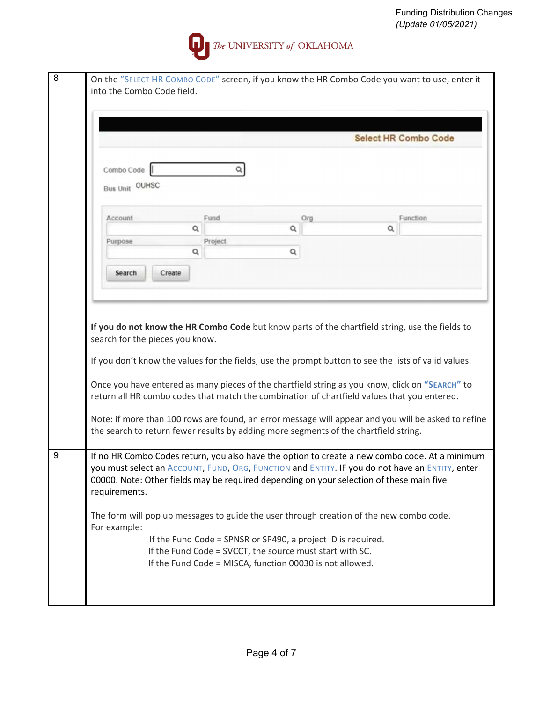

| Combo Code<br>Bus Unit OUHSC  |              |                                                                                      |     |                                                                                                                                                                                                                                                                                                       |
|-------------------------------|--------------|--------------------------------------------------------------------------------------|-----|-------------------------------------------------------------------------------------------------------------------------------------------------------------------------------------------------------------------------------------------------------------------------------------------------------|
|                               |              |                                                                                      |     |                                                                                                                                                                                                                                                                                                       |
| Account                       | Fund         |                                                                                      | Org | Function                                                                                                                                                                                                                                                                                              |
|                               | Q            | Q                                                                                    |     | Q                                                                                                                                                                                                                                                                                                     |
| Purpose                       | Project<br>Q | Q                                                                                    |     |                                                                                                                                                                                                                                                                                                       |
|                               |              |                                                                                      |     |                                                                                                                                                                                                                                                                                                       |
| Search                        | Create       |                                                                                      |     |                                                                                                                                                                                                                                                                                                       |
|                               |              | the search to return fewer results by adding more segments of the chartfield string. |     | Once you have entered as many pieces of the chartfield string as you know, click on "SEARCH" to<br>return all HR combo codes that match the combination of chartfield values that you entered.<br>Note: if more than 100 rows are found, an error message will appear and you will be asked to refine |
|                               |              |                                                                                      |     | If no HR Combo Codes return, you also have the option to create a new combo code. At a minimum<br>you must select an ACCOUNT, FUND, ORG, FUNCTION and ENTITY. IF you do not have an ENTITY, enter<br>00000. Note: Other fields may be required depending on your selection of these main five         |
| requirements.<br>For example: |              |                                                                                      |     | The form will pop up messages to guide the user through creation of the new combo code.                                                                                                                                                                                                               |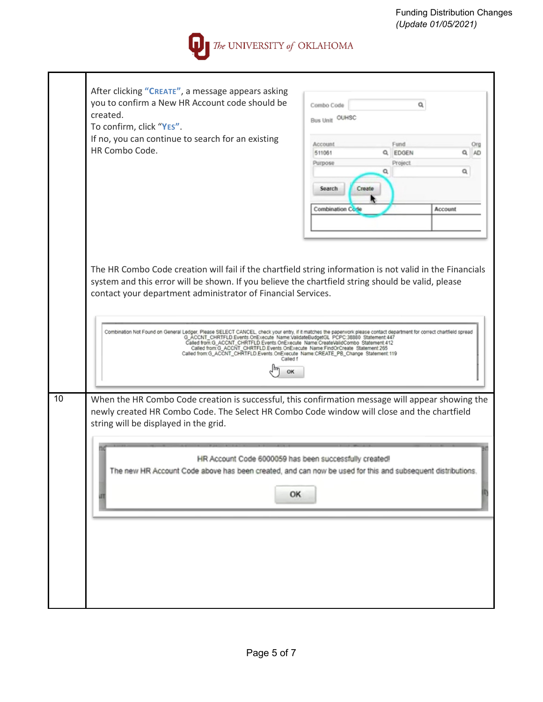

|    | After clicking "CREATE", a message appears asking<br>you to confirm a New HR Account code should be<br>created.<br>To confirm, click "YES".<br>If no, you can continue to search for an existing<br>HR Combo Code.                                                                                                                                                                                                                                                                                                                                                                                                                                                                                 | Combo Code<br><b>Bus Unit OUHSC</b><br>Account<br>511061<br>Q<br>Purpose<br>Ω<br>Search<br>Create<br><b>Combination Code</b> | a<br>Fund<br>EDGEN<br>Q<br>AD.<br>Project<br>Q<br><b>Account</b> |
|----|----------------------------------------------------------------------------------------------------------------------------------------------------------------------------------------------------------------------------------------------------------------------------------------------------------------------------------------------------------------------------------------------------------------------------------------------------------------------------------------------------------------------------------------------------------------------------------------------------------------------------------------------------------------------------------------------------|------------------------------------------------------------------------------------------------------------------------------|------------------------------------------------------------------|
|    | The HR Combo Code creation will fail if the chartfield string information is not valid in the Financials<br>system and this error will be shown. If you believe the chartfield string should be valid, please<br>contact your department administrator of Financial Services.<br>Combination Not Found on General Ledger, Please SELECT CANCEL, check your entry, if it matches the paperwork please contact department for correct chartfield spread<br>G ACCNT_CHRTFLD Events.OnExecute Name:Valid ater of ACCNT<br>Called from:G_ACCNT_CHRTFLD.Events.OnExecute Name:FindOrCreate Statement.265<br>Called from:G_ACCNT_CHRTFLD.Events.OnExecute Name:CREATE_PB_Change Statement:119<br>Called f |                                                                                                                              |                                                                  |
| 10 | When the HR Combo Code creation is successful, this confirmation message will appear showing the<br>newly created HR Combo Code. The Select HR Combo Code window will close and the chartfield<br>string will be displayed in the grid.<br>HR Account Code 6000059 has been successfully created!<br>The new HR Account Code above has been created, and can now be used for this and subsequent distributions.<br>OK                                                                                                                                                                                                                                                                              |                                                                                                                              |                                                                  |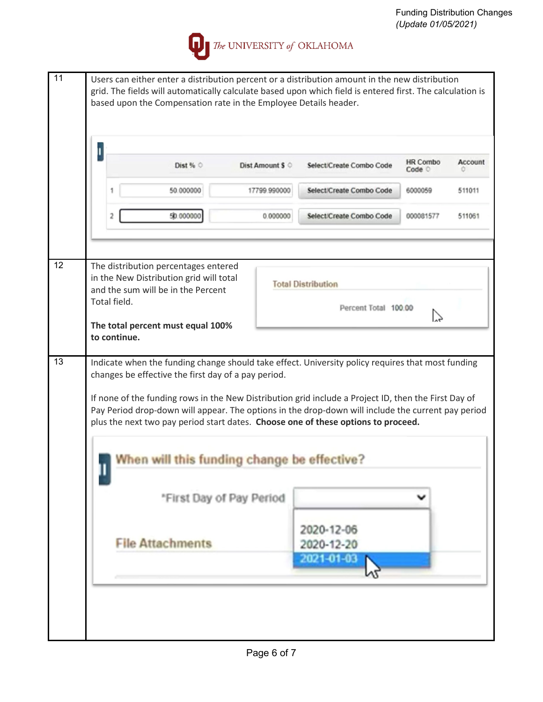

| $\mathbf{I}$                                                                                                                                                                                                                                                                                    |              |                                                                               |                          |                                                                                                   |                           |                |  |  |
|-------------------------------------------------------------------------------------------------------------------------------------------------------------------------------------------------------------------------------------------------------------------------------------------------|--------------|-------------------------------------------------------------------------------|--------------------------|---------------------------------------------------------------------------------------------------|---------------------------|----------------|--|--|
|                                                                                                                                                                                                                                                                                                 |              | Dist % $\circ$                                                                | Dist Amount \$ 0         | Select/Create Combo Code                                                                          | <b>HR Combo</b><br>Code O | <b>Account</b> |  |  |
|                                                                                                                                                                                                                                                                                                 |              | 50.000000                                                                     | 17799.990000             | Select/Create Combo Code                                                                          | 6000059                   | 511011         |  |  |
|                                                                                                                                                                                                                                                                                                 | 2            | 50.000000                                                                     | 0.000000                 | Select/Create Combo Code                                                                          | 000081577                 | 511061         |  |  |
|                                                                                                                                                                                                                                                                                                 |              | The distribution percentages entered                                          |                          |                                                                                                   |                           |                |  |  |
|                                                                                                                                                                                                                                                                                                 | Total field. | in the New Distribution grid will total<br>and the sum will be in the Percent |                          | <b>Total Distribution</b><br>Percent Total 100.00                                                 |                           |                |  |  |
|                                                                                                                                                                                                                                                                                                 | to continue. | The total percent must equal 100%                                             |                          |                                                                                                   |                           |                |  |  |
|                                                                                                                                                                                                                                                                                                 |              | changes be effective the first day of a pay period.                           |                          | Indicate when the funding change should take effect. University policy requires that most funding |                           |                |  |  |
| If none of the funding rows in the New Distribution grid include a Project ID, then the First Day of<br>Pay Period drop-down will appear. The options in the drop-down will include the current pay period<br>plus the next two pay period start dates. Choose one of these options to proceed. |              |                                                                               |                          |                                                                                                   |                           |                |  |  |
|                                                                                                                                                                                                                                                                                                 |              | en will this funding change be effective?                                     |                          |                                                                                                   |                           |                |  |  |
|                                                                                                                                                                                                                                                                                                 |              |                                                                               |                          |                                                                                                   |                           |                |  |  |
|                                                                                                                                                                                                                                                                                                 |              |                                                                               | *First Day of Pay Period |                                                                                                   |                           |                |  |  |
|                                                                                                                                                                                                                                                                                                 |              | <b>File Attachments</b>                                                       |                          | 2020-12-06<br>2020-12-20<br>2021-01-03                                                            |                           |                |  |  |